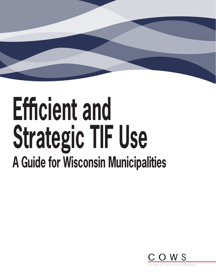# **Efficient and Strategic TIF Use A Guide for Wisconsin Municipalities**

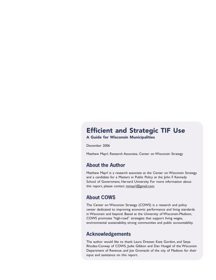#### Efficient and Strategic TIF Use

A Guide for Wisconsin Municipalities

December 2006

Matthew Mayrl, Research Associate, Center on Wisconsin Strategy

#### **About the Author**

Matthew Mayrl is a research associate at the Center on Wisconsin Strategy and a candidate for a Masters in Public Policy at the John F. Kennedy School of Government, Harvard University. For more information about this report, please contact [mmayrl@gmail.com](mailto:mmayrl@gmail.com).

#### **About COWS**

The Center on Wisconsin Strategy (COWS) is a research and policy center dedicated to improving economic performance and living standards in Wisconsin and beyond. Based at the University of Wisconsin-Madison, COWS promotes "high-road" strategies that support living wages, environmental sustainability, strong communities and public accountability.

#### **Acknowledgements**

The author would like to thank Laura Dresser, Kate Gordon, and Satya Rhodes-Conway of COWS, Judie Gibbon and Dan Huegel of the Wisconsin Department of Revenue, and Joe Gromacki of the city of Madison for their input and assistance on this report.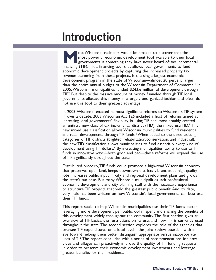### **Introduction**

ost Wisconsin residents would be amazed to discover that the<br>most powerful economic development tool available to their lo<br>governments is something they have never heard of: tax increm<br>financing (TIF) TIF a financing tool most powerful economic development tool available to their local governments is something they have never heard of: tax incremental financing (TIF). TIF, a financing tool that allows local governments to fund economic development projects by capturing the increased property tax revenue stemming from these projects, is the single largest economic development program in the state of Wisconsin—almost 20 percent larger than the entire annual budget of the Wisconsin Department of Commerce.<sup>1</sup> In 2005, Wisconsin municipalities funded \$243.6 million of development through TIF.<sup>2</sup> But despite the massive amount of money funneled through TIF, local governments allocate this money in a largely unorganized fashion and often do not use this tool to their greatest advantage.

In 2003, Wisconsin enacted its most significant reforms to Wisconsin's TIF system in over a decade. 2003 Wisconsin Act 126 included a host of reforms aimed at increasing local governments' flexibility in using TIF and, most notably, created an entirely new class of tax incremental district (TID): the mixed use TID. $3$  This new mixed use classification allows Wisconsin municipalities to fund residential and retail developments through TIF funds.<sup>4</sup> When added to the three existing categories of TIF districts (blighted, rehabilitation/conservation, and industrial), the new TID classification allows municipalities to fund essentially every kind of development using TIF dollars.<sup>5</sup> By increasing municipalities' ability to use to TIF funds in innovative ways—both good and bad—these reforms will expand the use of TIF significantly throughout the state.

Distributed properly, TIF funds could promote a high-road Wisconsin economy that preserves open land, keeps downtown districts vibrant, adds high-quality jobs, increases public input in city and regional development plans and grows the state's tax base. But many Wisconsin municipalities lack professional economic development and city planning staff with the necessary experience to structure TIF projects that yield the greatest public benefit. And, to date, very little has been written on how Wisconsin's local governments can best use their TIF funds.

This report seeks to help Wisconsin municipalities use their TIF funds better, leveraging more development per public dollar spent and sharing the benefits of this development widely throughout the community. The first section gives an overview of TIF basics, the restrictions on its use, and how TIF is currently used throughout the state. The second section explores the role of the agencies that oversee TIF expenditures on a local level—the joint review boards—with an eye toward helping them better distinguish appropriate versus inappropriate uses of TIF. The report concludes with a series of recommendations for how cities and villages can proactively improve the quality of TIF funding requests in order to preserve their economic development investments and leverage greater benefits for their residents.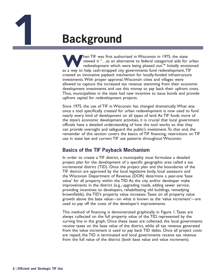

### **Background**

**W**hen TIF was first authorized in Wisconsin in 1975, the state viewed it "…as an alternative to federal categorical aids for urban redevelopment which were being phased out."6 Initially envisioned as a way to help cash-strapped city governments fund redevelopment, TIF created an innovative payback mechanism for locally-funded infrastructure investments. With proper approval, Wisconsin cities and villages were allowed to capture the increased tax revenue stemming from their economic development investments and use this money to pay back their upfront costs. Thus, municipalities in the state had new incentive to issue bonds and provide upfront capital for redevelopment projects.

Since 1975, the use of TIF in Wisconsin has changed dramatically. What was once a tool specifically created for urban redevelopment is now used to fund nearly every kind of development on all types of land. As TIF funds more of the state's economic development activities, it is crucial that local government officials have a detailed understanding of how the tool works so that they can provide oversight and safeguard the public's investment. To that end, the remainder of this section covers the basics of TIF financing, restrictions on TIF use in state law and current TIF use patterns throughout Wisconsin.

#### **Basics of the TIF Payback Mechanism**

In order to create a TIF district, a municipality must formulate a detailed project plan for the development of a specific geographic area called a tax incremental district (TID). Once the project plan and the boundaries of the TIF district are approved by the local legislative body, local assessors and the Wisconsin Department of Revenue (DOR) determine a year-one 'base value' for all property within the TID. As the city and/or developer make improvements in the district (e.g., upgrading roads, adding sewer service, providing incentives to developers, rehabilitating old buildings, remedying brownfields), the TID's property value increases. Taxes on all property value growth above the base value—on what is known as the 'value increment'—are used to pay off the costs of the developer's improvements.

This method of financing is demonstrated graphically in Figure 1. Taxes are always collected on the full property value of the TID, represented by the curving line in the graph. Once these taxes are collected, the local governments receive taxes on the base value of the district, while all tax revenue generated from the value increment is used to pay back TID debts. Once all project costs are repaid, the TID is terminated and local governments receive tax revenue from the full value of the district (both base value and value increment).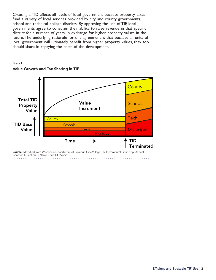Creating a TID affects all levels of local government because property taxes fund a variety of local services provided by city and county governments, school and technical college districts. By approving the use of TIF, local governments agree to constrain their ability to raise revenue in that specific district for a number of years, in exchange for higher property values in the future. The underlying rationale for this agreement is that because all units of local government will ultimately benefit from higher property values, they too should share in repaying the costs of the development.

#### $\ddot{\bullet}$   $\ddot{\bullet}$   $\ddot{\bullet}$

#### Figure 1



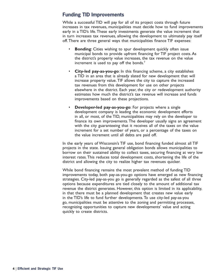#### **Funding TID Improvements**

While a successful TID will pay for all of its project costs through future increases in tax revenues, municipalities must decide how to fund improvements early in a TID's life. These early investments generate the value increment that in turn increases tax revenues, allowing the development to ultimately pay itself off. There are three general ways that municipalities finance TIF expenses:

- **Bonding:** Cities wishing to spur development quickly often issue municipal bonds to provide upfront financing for TIF project costs. As the district's property value increases, the tax revenue on the value increment is used to pay off the bonds.<sup>7</sup>
- **City-led pay-as-you-go**: In this financing scheme, a city establishes a TID in an area that is already slated for new development that will increase property value. TIF allows the city to capture the increased tax revenues from this development for use on other projects elsewhere in the district. Each year, the city or redevelopment authority estimates how much the district's tax revenue will increase and funds improvements based on these projections.
- **Developer-led pay-as-you-go:** For projects where a single development company is leading the economic development efforts in all, or most, of the TID, municipalities may rely on the developer to finance its own improvements. The developer usually signs an agreement with the city guaranteeing that it receives all of the taxes on the value increment for a set number of years, or a percentage of the taxes on the value increment until all debts are paid off.

In the early years of Wisconsin's TIF use, bond financing funded almost all TIF projects in the state. Issuing general obligation bonds allows municipalities to borrow on their sustained ability to collect taxes, securing financing at very low interest rates. This reduces total development costs, shortening the life of the district and allowing the city to realize higher tax revenues quicker.

While bond financing remains the most prevalent method of funding TID improvements today, both pay-as-you-go options have emerged as new financing strategies. City-led pay-as-you go is generally regarded as the safest of all three options because expenditures are tied closely to the amount of additional tax revenue the district generates. However, this option is limited in its applicability, in that there must be a planned development that creates new value early in the TID's life to fund further developments. To use city-led pay-as-you go, municipalities must be attentive to the zoning and permitting processes, recognizing opportunities to capture new developments' value and acting quickly to create districts.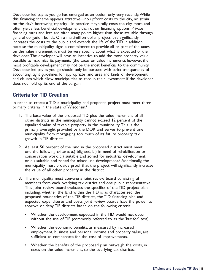Developer-led pay-as-you-go has emerged as an option only very recently. While this financing scheme appears attractive—no upfront costs to the city, no strain on the city's borrowing capacity—in practice it typically costs the city more and often yields less beneficial development than other financing options. Private financing rates and fees are often many points higher than those available through general obligation bonds. On a multimillion dollar project, this significantly increases the costs to the public and extends the life of the TID. In addition, because the municipality signs a commitment to provide all or part of the taxes on the value increment, it must be very specific about what is expected of the developer. The developer will have an incentive to add the most property value possible to maximize its payments (the taxes on value increment); however, the most profitable development may not be the most beneficial to the community. Developer-led pay-as-you-go should only be pursued with strict transparency of accounting, tight guidelines for appropriate land uses and kinds of development, and clauses which allow municipalities to recoup their investment if the developer does not hold up its end of the bargain.

#### **Criteria for TID Creation**

In order to create a TID, a municipality and proposed project must meet three primary criteria in the state of Wisconsin:8

- 1. The base value of the proposed TID plus the value increment of all other districts in the municipality cannot exceed 12 percent of the equalized value of taxable property in the municipality. This is the primary oversight provided by the DOR and serves to prevent one municipality from mortgaging too much of its future property tax growth in TIF districts.
- 2. At least 50 percent of the land in the proposed district must meet one the following criteria: a.) blighted; b.) in need of rehabilitation or conservation work; c.) suitable and zoned for industrial development; or d.) suitable and zoned for mixed-use development.<sup>9</sup> Additionally, the municipality must provide proof that the project will significantly increase the value of all other property in the district.
- 3. The municipality must convene a joint review board consisting of members from each overlying tax district and one public representative. This joint review board evaluates the specifics of the TID project plan, including: whether the land within the TID is as characterized, the proposed boundaries of the TIF districts, the TID financing plan and expected expenditures and costs. Joint review boards have the power to approve or deny TIF districts based on the following criteria:
	- Whether the development expected in the TID would not occur without the use of TIF (commonly referred to as the 'but for' test).
	- Whether the economic benefits, as measured by increased employment, business and personal income and property value, are sufficient to compensate for the cost of improvements.
	- Whether the benefits of the proposed plan outweigh the costs, in taxes on the value increment, to the overlying tax districts.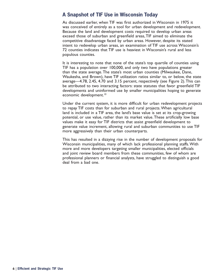#### **A Snapshot of TIF Use in Wisconsin Today**

As discussed earlier, when TIF was first authorized in Wisconsin in 1975 it was conceived of entirely as a tool for urban development and redevelopment. Because the land and development costs required to develop urban areas exceed those of suburban and greenfield areas, TIF aimed to eliminate the competitive disadvantage faced by urban areas. However, despite its stated intent to redevelop urban areas, an examination of TIF use across Wisconsin's 72 counties indicates that TIF use is heaviest in Wisconsin's rural and less populous counties.

It is interesting to note that none of the state's top quartile of counties using TIF has a population over 100,000, and only two have populations greater than the state average. The state's most urban counties (Milwaukee, Dane, Waukesha, and Brown), have TIF utilization ratios similar to, or below, the state average—4.78, 2.45, 4.70 and 3.15 percent, respectively (see Figure 2). This can be attributed to two interacting factors: state statutes that favor greenfield TIF developments and uninformed use by smaller municipalities hoping to generate economic development.<sup>10</sup>

Under the current system, it is more difficult for urban redevelopment projects to repay TIF costs than for suburban and rural projects. When agricultural land is included in a TIF area, the land's base value is set at its crop-growing potential, or use value, rather than its market value. These artificially low base values make it easy for TIF districts that assist greenfield development to generate value increment, allowing rural and suburban communities to use TIF more aggressively than their urban counterparts.

This has resulted in a dizzying rise in the number of development proposals for Wisconsin municipalities, many of which lack professional planning staffs. With more and more developers targeting smaller municipalities, elected officials and joint review board members from these communities, few of whom are professional planners or financial analysts, have struggled to distinguish a good deal from a bad one.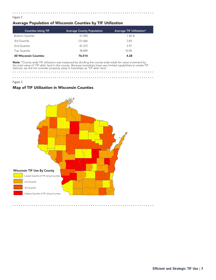#### . . . . . . . . . . . . . . . .

#### Figure 2

#### Average Population of Wisconsin Counties by TIF Utilization

| <b>Counties Using TIF</b>     | <b>Average County Population</b> | Average TIF Utilization* |
|-------------------------------|----------------------------------|--------------------------|
| <b>Bottom Quartile</b>        | 57.920                           | 1.46 %                   |
| 3rd Quartile                  | 121.666                          | 3.83                     |
| 2nd Quartile                  | 87,372                           | 5.97                     |
| Top Quartile                  | 39.099                           | 10.90                    |
| <b>All Wisconsin Counties</b> | 76,514                           | 4.28                     |

Note: \*County-wide TIF utilization was measured by dividing the county-wide totals for value increment by the total value of 'TIF-able' land in the county. Because townships have very limited capabilities to create TIF districts, we did not consider property value in townships as 'TIF-able' land. a dia anala and and and and and

and a

and and and and a

#### Map of TIF Utilization in Wisconsin Counties

and and and and



Figure 3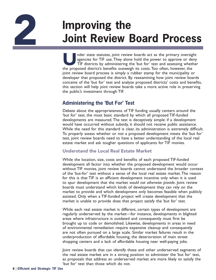## **2 Improving the<br>
3 Joint Review Board Proces Joint Review Board Process**

Inder state statutes, joint review boards act as the primary oversight agencies for TIF use. They alone hold the power to approve or deny TIF districts by administering the 'but for' test and assessing whether the proposed agencies for TIF use. They alone hold the power to approve or deny TIF districts by administering the 'but for' test and assessing whether the proposed district's benefits outweigh its costs. Too often, however, the joint review board process is simply a rubber stamp for the municipality or developer that proposed the district. By reexamining how joint review boards conceive of the 'but for' test and analyze proposed districts' costs and benefits, this section will help joint review boards take a more active role in preserving the public's investment through TIF.

#### **Administering the 'But For' Test**

Debate about the appropriateness of TIF funding usually centers around the 'but for' test, the most basic standard by which all proposed TIF-funded developments are measured. The test is deceptively simple: if a development would have occurred without subsidy, it should not receive public assistance. While the need for this standard is clear, its administration is extremely difficult. To properly assess whether or not a proposed development meets the 'but for' test, joint review boards need to have a better understanding of the local real estate market and ask tougher questions of applicants for TIF monies.

#### Understand the Local Real Estate Market

While the location, size, costs and benefits of each proposed TIF-funded development all factor into whether the proposed development would occur without TIF monies, joint review boards cannot understand the broader context of the 'but-for' test without a sense of the local real estate market. The reason for this is that TIF is an efficient development incentive only when it is used to spur development that the market *would not otherwise provide*. Joint review boards must understand which kinds of development they can rely on the market to provide and which development only becomes feasible when publicly assisted. Only when a TIF-funded project will create development that the market is unable to provide does that project satisfy the 'but for' test.

While each real estate market is different, certain types of development are regularly underserved by the market—for instance, developments in blighted areas where infrastructure is outdated and consequently must first be brought up to code or demolished. Likewise, developments in areas in need of environmental remediation require expensive cleanup and consequently are not often pursued on a large scale. Similar market failures result in the underproduction of affordable housing, the deterioration of main street shopping centers and a lack of affordable housing near well-paying jobs.

Joint review boards that can identify these and other underserved segments of the real estate market are in a strong position to administer the 'but for' test, as proposals that address an underserved market are more likely to satisfy the 'but for' test than those which do not.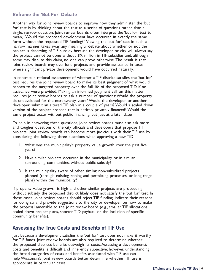#### Reframe the 'But For' Debate

Another way for joint review boards to improve how they administer the 'but for' test is by thinking about the test as a series of questions rather than a single, narrow question. Joint review boards often interpret the 'but for' test to mean, "Would the proposed development have occurred in exactly the same form without the requested TIF funding?" Viewing the 'but for' test in such a narrow manner takes away any meaningful debate about whether or not the project is deserving of TIF subsidy because the developer or city will always say the project cannot be done without \$X million in TIF subsidies and, although some may dispute this claim, no one can prove otherwise. The result is that joint review boards may over-fund projects and provide assistance in cases where significant private development would have occurred naturally.

In contrast, a rational assessment of whether a TIF district satisfies the 'but for' test requires the joint review board to make its best judgment of what would happen to the targeted property over the full life of the proposed TID if no assistance were provided. Making an informed judgment call on this matter requires joint review boards to ask a number of questions: Would the property sit undeveloped for the next twenty years? Would the developer, or another developer, submit an altered TIF plan in a couple of years? Would a scaled down version of the project proceed that is entirely privately financed? Would the same project occur without public financing, but just at a later date?

To help in answering these questions, joint review boards must also ask more and tougher questions of the city officials and developers that propose TIF projects. Joint review boards can become more judicious with their TIF use by considering the following three questions when approving a new TID:

- 1. What was the municipality's property value growth over the past five years?
- 2. Have similar projects occurred in the municipality, or in similar surrounding communities, without public subsidy?
- 3. Is the municipality aware of other similar, non-subsidized projects planned (through existing zoning and permitting processes, or long-range plans) within the municipality?

If property value growth is high and other similar projects are proceeding without subsidy, the proposed district likely does not satisfy the 'but for' test. In these cases, joint review boards should reject TIF funding, indicate their reasons for doing so and provide suggestions to the city or developer on how to make the proposal amenable to the joint review board (e.g., smaller TIF allocations, scaled-down project plans, shorter TID payback or the inclusion of specific community benefits).

#### **Assessing the True Costs and Benefits of TIF Use**

Just because a development satisfies the 'but for' test does not make it worthy for TIF funds. Joint review boards are also required to determine whether the proposed district's benefits outweigh its costs. Assessing a development's costs and benefits is difficult and inherently subjective; however, understanding the broad categories of costs and benefits associated with TIF use can help Wisconsin's joint review boards better determine whether TIF use is appropriate in particular cases.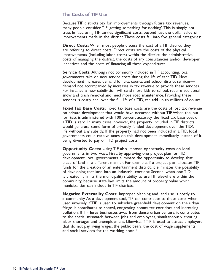#### The Costs of TIF Use

Because TIF districts pay for improvements through future tax revenues, many people consider TIF 'getting something for nothing'. This is simply not true. In fact, using TIF carries significant costs, beyond just the dollar value of improvements made in the district. These costs fall into five general categories:

**Direct Costs:** When most people discuss the cost of a TIF district, they are referring to direct costs. Direct costs are the costs of the physical improvements (including labor costs) within the district, the administrative costs of managing the district, the costs of any consultancies and/or developer incentives and the costs of financing all these expenditures.

**Service Costs:** Although not commonly included in TIF accounting, local governments take on new service costs during the life of each TID. New development increases demand for city, county, and school district services demand not accompanied by increases in tax revenue to provide these services. For instance, a new subdivision will send more kids to school, require additional snow and trash removal and need more road maintenance. Providing these services is costly and, over the full life of a TID, can add up to millions of dollars.

**Fixed Tax Base Costs:** Fixed tax base costs are the costs of lost tax revenue on private development that would have occurred without TIF. When the 'but for' test is administered with 100 percent accuracy the fixed tax base cost of a TID is zero. In many cases, however, the property included in TIF districts would generate some form of privately-funded development over the TID's life without any subsidy. If the property had not been included in a TID, local governments could receive taxes on this development immediately instead of it being diverted to pay off TID project costs.

**Opportunity Costs:** Using TIF also imposes opportunity costs on local governments in two ways. First, by approving one project plan for TID development, local governments eliminate the opportunity to develop that piece of land in a different manner. For example, if a project plan allocates TIF funds for the creation of an entertainment district, it eliminates the possibility of developing that land into an industrial corridor. Second, when one TID is created, it limits the municipality's ability to use TIF elsewhere within the community, because state law limits the amount of property value which municipalities can include in TIF districts.

**Negative Externality Costs:** Improper planning and land use is costly to a community. As a development tool, TIF can contribute to these costs when used unwisely. If TIF is used to subsidize greenfield development on the urban fringe it contributes to sprawl, congesting commuter corridors and increasing pollution. If TIF lures businesses away from dense urban centers, it contributes to the spatial mismatch between jobs and employees, simultaneously creating labor shortages and unemployment. Likewise, if TIF is used to attract employers that do not pay living wages, the public bears the cost of wage supplements and social services for the working poor.<sup>11</sup>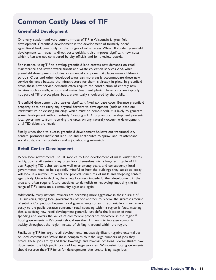#### Common Costly Uses of TIF

#### Greenfield Development

One very costly—and very common—use of TIF in Wisconsin is greenfield development. Greenfield development is the development of formerly open/ agricultural land, commonly on the fringes of urban areas. While TIF-funded greenfield development can repay its direct costs quickly, it also imposes significant new costs which often are not considered by city officials and joint review boards.

For instance, using TIF to develop greenfield land creates new demands on road maintenance and sewer, water, transit and waste collection services. And, when greenfield development includes a residential component, it places more children in schools. Cities and other developed areas can more easily accommodate these new service demands because the infrastructure for them is already in place. In greenfield areas, these new service demands often require the construction of entirely new facilities such as wells, schools and water treatment plants. These costs are typically not part of TIF project plans, but are eventually shouldered by the public.

Greenfield development also carries significant fixed tax base costs. Because greenfield property does not carry any physical barriers to development (such as obsolete infrastructure or existing buildings which must be demolished), it is likely to generate some development without subsidy. Creating a TID to promote development prevents local governments from receiving the taxes on any naturally-occurring development until TID debts are repaid.

Finally, when done to excess, greenfield development hollows out traditional city centers, promotes inefficient land use and contributes to sprawl and its attendant social costs, such as pollution and a jobs-housing mismatch.

#### Retail Center Development

When local governments use TIF monies to fund development of malls, outlet stores, or big box retail centers, they often lock themselves into a long-term cycle of TIF use. Repaying TID debts can take well over twenty years, and consequently local governments need to be especially mindful of how the buildings they subsidize today will look in a number of years. The physical structures of malls and shopping centers age quickly. Once in decline, these retail centers impede further development in the area and often require future subsidies to demolish or redevelop, imposing the full range of TIF's costs on a community again and again.

Additionally, many national retailers are becoming more aggressive in their pursuit of TIF subsidies, playing local governments off one another to receive the greatest amount of subsidy. Competition between local governments to land major retailers is extremely costly to the public because consumer retail spending within a region is fixed, meaning that subsidizing new retail development generally just shifts the location of retail spending and lowers the values of commercial properties elsewhere in the region.<sup>12</sup> Local governments in Wisconsin should use their TIF funds to increase economic activity throughout the region instead of shifting it around within the region.

Finally, using TIF for large retail developments imposes significant negative externalities on local communities. While these companies tout the large numbers of jobs they create, these jobs are by and large low-wage and low-skill positions. Several studies have documented the high public costs of low wage work and Wisconsin's local governments should reserve their TIF funds for developments that create living wage jobs.<sup>13</sup>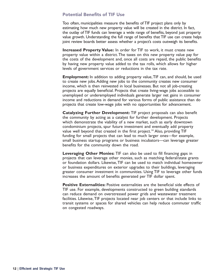#### Potential Benefits of TIF Use

Too often, municipalities measure the benefits of TIF project plans only by estimating how much new property value will be created in the district. In fact, the outlay of TIF funds can leverage a wide range of benefits, beyond just property value growth. Understanding the full range of benefits that TIF use can create helps joint review boards better assess whether a project's costs outweigh its benefits.

**Increased Property Value:** In order for TIF to work, it must create new property value within a district. The taxes on this new property value pay for the costs of the development and, once all costs are repaid, the public benefits by having new property value added to the tax rolls, which allows for higher levels of government services or reductions in the tax rate.

**Employment:** In addition to adding property value, TIF can, and should, be used to create new jobs. Adding new jobs to the community creates new consumer income, which is then reinvested in local businesses. But not all job-creating projects are equally beneficial. Projects that create living-wage jobs accessible to unemployed or underemployed individuals generate larger net gains in consumer income and reductions in demand for various forms of public assistance than do projects that create low-wage jobs with no opportunities for advancement.

**Catalyzing Further Development:** TIF project proposals can also benefit the community by acting as a catalyst for further development. Projects which demonstrate the viability of a new market, such as early downtown condominium projects, spur future investment and eventually add property value well beyond that created in the first project.<sup>14</sup> Also, providing TIF funding for small projects that can lead to much larger ones—for example, small business startup programs or business incubators—can leverage greater benefits for the community down the road.

**Leveraging Other Monies:** TIF can also be used to fill financing gaps in projects that can leverage other monies, such as matching federal/state grants or foundation dollars. Likewise, TIF can be used to match individual homeowner or business expenditures on exterior upgrades to their buildings, leveraging greater consumer investment in communities. Using TIF to leverage other funds increases the amount of benefits generated per TIF dollar spent.

**Positive Externalities:** Positive externalities are the beneficial side effects of TIF use. For example, developments constructed to green building standards can reduce demand on overstressed power grids and wastewater treatment facilities. Likewise, TIF projects located near job centers or that include links to transit systems or spaces for shared vehicles can help reduce commuter traffic on congested roadways.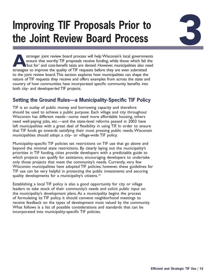### **Improving TIF Proposals Prior to the Joint Review Board Process**

**A** stronger joint review board process will help Wisconsin's local governments ensure that worthy TIF proposals receive funding, while those which fail the 'but for' and cost-benefit tests are denied. However, municipalities also need strategies to improve the quality of TIF requests before they are even submitted to the joint review board. This section explores how municipalities can shape the nature of TIF requests they receive and offers examples from across the state and country of how communities have incorporated specific community benefits into both city- and developer-led TIF projects.

#### **Setting the Ground Rules—a Municipality-Specific TIF Policy**

TIF is an outlay of public money and borrowing capacity and therefore should be used to achieve a public purpose. Each village and city throughout Wisconsin has different needs—some need more affordable housing, others need well-paying jobs, etc.—and the state-level reforms passed in 2003 have left municipalities with a great deal of flexibility in using TIF. In order to ensure that TIF funds go towards satisfying their most pressing public needs, Wisconsin municipalities should adopt a city- or village-wide TIF policy.

Municipality-specific TIF policies set restrictions on TIF use that go above and beyond the minimal state restrictions. By clearly laying out the municipality's priorities in TIF funding, cities provide developers with a predictable guide to which projects can qualify for assistance, encouraging developers to undertake only those projects that meet the community's needs. Currently, very few Wisconsin municipalities have adopted TIF policies; however, these guidelines for TIF use can be very helpful in protecting the public investments and securing quality developments for a municipality's citizens.<sup>15</sup>

Establishing a local TIF policy is also a good opportunity for city or village leaders to take stock of their community's needs and solicit public input on the municipality's development plans. As a municipality begins the process of formulating its TIF policy, it should convene neighborhood meetings to receive feedback on the types of development most valued by the community. What follows is a list of possible considerations and standards that can be incorporated into municipality-specific TIF policies.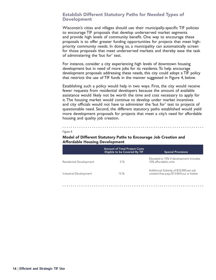#### Establish Different Statutory Paths for Needed Types of Development

Wisconsin's cities and villages should use their municipally-specific TIF policies to encourage TIF proposals that develop underserved market segments and provide high levels of community benefit. One way to encourage these proposals is to offer greater funding opportunities for projects that meet highpriority community needs. In doing so, a municipality can automatically screen for those proposals that meet underserved markets and thereby ease the task of administering the 'but for' test.

For instance, consider a city experiencing high levels of downtown housing development but in need of more jobs for its residents. To help encourage development proposals addressing these needs, this city could adopt a TIF policy that restricts the use of TIF funds in the manner suggested in Figure 4, below.

Establishing such a policy would help in two ways. First, the city would receive fewer requests from residential developers because the amount of available assistance would likely not be worth the time and cost necessary to apply for it. The housing market would continue to develop under market incentives and city officials would not have to administer the 'but for' test to projects of questionable need. Second, the different statutory paths established would yield more development proposals for projects that meet a city's need for affordable housing and quality job creation.

#### Figure 4

#### Model of Different Statutory Paths to Encourage Job Creation and Affordable Housing Development

|                         | <b>Amount of Total Project Costs</b><br>Eligible to be Covered By TIF | <b>Special Provisions</b>                                                          |
|-------------------------|-----------------------------------------------------------------------|------------------------------------------------------------------------------------|
| Residential Development | 5%                                                                    | Elevated to 15% if development includes<br>10% affordable units                    |
| Industrial Development  | 15%                                                                   | Additional Subsidy of \$10,000 per job<br>created that pays \$13.00/hour or better |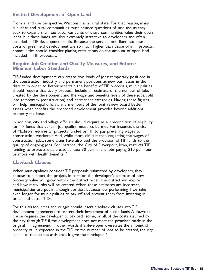#### Restrict Development of Open Land

From a land use perspective, Wisconsin is a rural state. For that reason, many suburban and rural communities must balance questions of land use as they seek to expand their tax base. Residents of these communities value their open lands, but these lands are also extremely attractive to developers and often included in TIF development deals. Because the service- and fixed-tax base costs of greenfield development are so much higher than those of infill projects, communities should consider placing restrictions on the amount of open land included in TIF proposals.

#### Require Job Creation and Quality Measures, and Enforce Minimum Labor Standards

TIF-funded developments can create two kinds of jobs: temporary positions in the construction industry and permanent positions at new businesses in the district. In order to better ascertain the benefits of TIF proposals, municipalities should require that every proposal include an estimate of the number of jobs created by the development and the wage and benefits levels of these jobs, split into temporary (construction) and permanent categories. Having these figures will help municipal officials and members of the joint review board better assess what benefits the proposed development provides beyond additional property tax base.

In addition, city and village officials should require as a precondition of eligibility for TIF funds that certain job quality measures be met. For instance, the city of Madison requires all projects funded by TIF to pay prevailing wages to construction workers.<sup>16</sup> And, while more difficult than regulating the wages of construction jobs, some cities have also tied the provision of TIF funds to the quality of ongoing jobs. For instance, the City of Davenport, Iowa, restricts TIF funding to projects that create at least 30 permanent jobs paying \$10 per hour or more with health benefits.<sup>17</sup>

#### Clawback Clauses

When municipalities consider TIF proposals submitted by developers, they choose to support the project, in part, on the developer's estimate of how property value will grow within the district, when the district will expire and how many jobs will be created. When these estimates are incorrect, municipalities are put in a tough position, because low-performing TIDs take even longer for municipalities to pay off and prevent them from investing in other and better TIDs.

For this reason, cities and villages should insert clawback clauses into TIF development agreements to protect their investment of public funds. A clawback clause requires the developer to pay back some, or all, of the costs assumed by the city through TIF if the development does not meet the promises made in the original TIF agreement. In other words, if a developer overstates the amount of property value expected in the TID or the number of jobs to be created, the city is able to recoup the assistance it gave the developer.<sup>18</sup>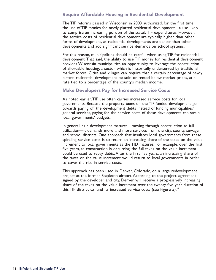#### Require Affordable Housing in Residential Development

The TIF reforms passed in Wisconsin in 2003 authorized, for the first time, the use of TIF monies for newly platted residential development—a use likely to comprise an increasing portion of the state's TIF expenditures. However, the service costs of residential development are typically higher than other forms of development, as residential developments are denser than other developments and add significant service demands on school systems.

For this reason, municipalities should be careful when using TIF for residential development. That said, the ability to use TIF money for residential development provides Wisconsin municipalities an opportunity to leverage the construction of affordable housing, a sector which is historically underserved by traditional market forces. Cities and villages can require that a certain percentage of newly platted residential development be sold or rented below market prices, at a rate tied to a percentage of the county's median income.

#### Make Developers Pay for Increased Service Costs

As noted earlier, TIF use often carries increased service costs for local governments. Because the property taxes on the TIF-funded development go towards paying off the development debts instead of funding municipalities' general services, paying for the service costs of these developments can strain local governments' budgets.

In general, as a development matures—moving through construction to full utilization—it demands more and more services from the city, county, sewage and school districts. One approach that insulates local governments from these spiraling service costs is to return an increasing share of the taxes on the value increment to local governments as the TID matures. For example, over the first five years, as construction is occurring, the full taxes on the value increment could be used to repay debts. After the first five years, an increasing share of the taxes on the value increment would return to local governments in order to cover the rise in service costs.

This approach has been used in Denver, Colorado, on a large redevelopment project at the former Stapleton airport. According to the project agreement signed by the developer and city, Denver will receive a progressively increasing share of the taxes on the value increment over the twenty-five year duration of this TIF district to fund its increased service costs (see Figure 5).<sup>19</sup>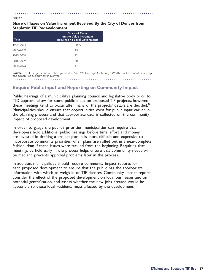#### Share of Taxes on Value Increment Received By the City of Denver from Stapleton TIF Redevelopment

| Year      | <b>Share of Taxes</b><br>on the Value Increment<br><b>Returned to Local Govenments</b> |
|-----------|----------------------------------------------------------------------------------------|
| 1999-2004 | 0%                                                                                     |
| 2005-2009 | 13                                                                                     |
| 2010-2014 | 22                                                                                     |
| 2015-2019 | 30                                                                                     |
| 2020-2024 | 47                                                                                     |

Figure 5

Source: Front Range Economic Strategy Center. "Are We Getting Our Money's Worth: Tax-Increment Financing and Urban Redevelopment in Denver.

#### Require Public Input and Reporting on Community Impact

Public hearings of a municipality's planning council and legislative body prior to TID approval allow for some public input on proposed TIF projects; however, these meetings tend to occur after many of the projects' details are decided.<sup>20</sup> Municipalities should ensure that opportunities exist for public input earlier in the planning process and that appropriate data is collected on the community impact of proposed development.

In order to gauge the public's priorities, municipalities can require that developers hold additional public hearings before time, effort and money are invested in drafting a project plan. It is more difficult and expensive to incorporate community priorities when plans are rolled out in a near-complete fashion, than if these issues were tackled from the beginning. Requiring that meetings be held early in the process helps ensure that community needs will be met and prevents approval problems later in the process.

In addition, municipalities should require community impact reports for each proposed development to ensure that the public has the appropriate information with which to weigh in on TIF debates. Community impact reports consider the effect of the proposed development on local businesses and on potential gentrification, and assess whether the new jobs created would be accessible to those local residents most affected by the development.<sup>21</sup>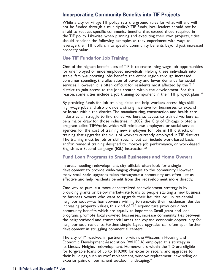#### **Incorporating Community Benefits into TIF Projects**

While a city or village TIF policy sets the ground rules for what will and will not be funded through a municipality's TIF funds, local leaders should not be afraid to request specific community benefits that exceed those required in the TIF policy. Likewise, when planning and executing their own projects, cities should consider the following examples as they experiment with ways to leverage their TIF dollars into specific community benefits beyond just increased property value.

#### Use TIF Funds for Job Training

One of the highest-benefit uses of TIF is to create living-wage job opportunities for unemployed or underemployed individuals. Helping these individuals into stable, family-supporting jobs benefits the entire region through increased consumer spending, the alleviation of poverty and fewer demands for social services. However, it is often difficult for residents most affected by the TIF district to gain access to the jobs created within the development. For this reason, some cities include a job training component in their TIF project plans.<sup>22</sup>

By providing funds for job training, cities can help workers access high-skill, high-wage jobs and also provide a strong incentive for businesses to expand or locate within the district. The manufacturing, construction and health care industries all struggle to find skilled workers, so access to trained workers can be a major draw for those industries. In 2002, the City of Chicago piloted a program called TIFWorks, which will reimburse employers or social service agencies for the cost of training new employees for jobs in TIF districts, or training that upgrades the skills of workers currently employed in TIF districts. The training must be job or skill-specific, but can include work-based basic and/or remedial training designed to improve job performance, or work-based English-as-a-Second Language (ESL) instruction.23

#### Fund Loan Programs to Small Businesses and Home Owners

In areas needing redevelopment, city officials often look for a single development to provide wide-ranging changes to the community. However, many small-scale upgrades taken throughout a community are often just as effective and help residents benefit from the redevelopment more directly.

One way to pursue a more decentralized redevelopment strategy is by providing grants or below market-rate loans to people starting a new business, to business owners who want to upgrade their facilities, or—in residential neighborhoods—to homeowners wishing to renovate their residences. Besides increasing property values, this kind of TIF expenditure produces direct community benefits which are equally as important. Small grant and loan programs promote locally-owned businesses, increase community ties between the neighborhood and commercial areas and expand economic opportunity for neighborhood residents. Further, simple façade upgrades can often spur further development in struggling commercial centers.

The city of Milwaukee, in partnership with the Wisconsin Housing and Economic Development Association (WHEDA) employed this strategy in its Lindsay Heights redevelopment. Homeowners within the TID are eligible for forgivable loans of up to \$10,000 for exterior repairs and upgrades to their buildings, such as roof replacement, window replacement, new siding or exterior paint or permanent outdoor landscaping.<sup>24</sup>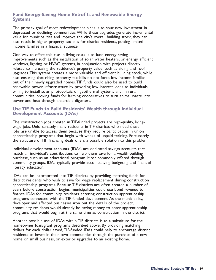#### Fund Energy-Saving Home Retrofits and Renewable Energy **Systems**

The primary goal of most redevelopment plans is to spur new investment in depressed or declining communities. While these upgrades generate incremental value for municipalities and improve the city's overall building stock, they can also result in higher property tax bills for district residents, putting limitedincome families in a financial squeeze.

One way to offset this rise in living costs is to fund energy-saving improvements such as the installation of solar water heaters, or energy efficient windows, lighting or HVAC systems, in conjunction with projects directly related to increasing the residence's property value, such as siding and roof upgrades. This system creates a more valuable and efficient building stock, while also ensuring that rising property tax bills do not force low-income families out of their newly upgraded homes. TIF funds could also be used to build renewable power infrastructure by providing low-interest loans to individuals willing to install solar photovoltaic or geothermal systems and, in rural communities, proving funds for farming cooperatives to turn animal waste into power and heat through anaerobic digesters.

#### Use TIF Funds to Build Residents' Wealth through Individual Development Accounts (IDAs)

The construction jobs created in TIF-funded projects are high-quality, livingwage jobs. Unfortunately, many residents in TIF districts who need these jobs are unable to access them because they require participation in union apprenticeship programs that begin with weeks of unpaid training. Fortunately, the structure of TIF financing deals offers a possible solution to this problem.

Individual development accounts (IDAs) are dedicated savings accounts that match an individual's contributions to help them save for a wealth-building purchase, such as an educational program. Most commonly offered through community groups, IDAs typically provide accompanying budgeting and financial literacy education.

IDAs can be incorporated into TIF districts by providing matching funds for district residents who wish to save for wage replacement during construction apprenticeship programs. Because TIF districts are often created a number of years before construction begins, municipalities could use bond revenue to finance IDAs for community residents entering construction apprenticeship programs connected with the TIF-funded development. As the municipality, developer and affected businesses iron out the details of the project, community residents would already be saving money to enter apprenticeship programs that would begin at the same time as construction in the district.

Another possible use of IDAs within TIF districts is as a substitute for the homeowner loan/grant programs described above. By providing matching dollars for each dollar saved, TIF-funded IDAs could help to encourage district residents to invest in their own communities through the purchase of a new home or small business, or exterior upgrades to an existing home.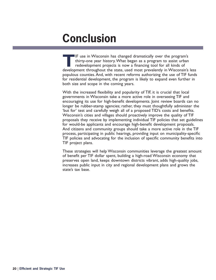### **Conclusion**

**T**IF use in Wisconsin has changed dramatically over the program's thirty-one year history. What began as a program to assist urban redevelopment projects is now a financing tool for all kinds of development throughout the state, used most prevalently in Wisconsin's less populous counties. And, with recent reforms authorizing the use of TIF funds for residential development, the program is likely to expand even further in both size and scope in the coming years.

With the increased flexibility and popularity of TIF, it is crucial that local governments in Wisconsin take a more active role in overseeing TIF and encouraging its use for high-benefit developments. Joint review boards can no longer be rubber-stamp agencies; rather, they must thoughtfully administer the 'but for' test and carefully weigh all of a proposed TID's costs and benefits. Wisconsin's cities and villages should proactively improve the quality of TIF proposals they receive by implementing individual TIF policies that set guidelines for would-be applicants and encourage high-benefit development proposals. And citizens and community groups should take a more active role in the TIF process, participating in public hearings, providing input on municipality-specific TIF policies and advocating for the inclusion of specific community benefits into TIF project plans.

These strategies will help Wisconsin communities leverage the greatest amount of benefit per TIF dollar spent, building a high-road Wisconsin economy that preserves open land, keeps downtown districts vibrant, adds high-quality jobs, increases public input in city and regional development plans and grows the state's tax base.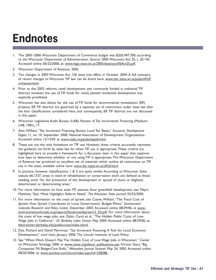### **Endnotes**

- 1. The 2005–2006 Wisconsin Department of Commerce budget was \$203,497,700, according to the Wisconsin Department of Administration. Source: 2005 Wisconsin Act 25, s. 20.143. Accessed online 06/22/2006, at: [www.legis.state.wi.us/2005/data/acts/05Act25.pdf](http://www.legis.state.wi.us/2005/data/acts/05Act25.pdf).
- 2. Wisconsin Department of Revenue. 2005.
- 3. The changes in 2003 Wisconsin Act 126 went into effect in October 2004. A full summary of recent changes to Wisconsin TIF law can be found here: [www.dor.state.wi.us/pubs/slf/tif/](http://www.dor.state.wi.us/pubs/slf/tif/cvmanual.html) [cvmanual.html.](http://www.dor.state.wi.us/pubs/slf/tif/cvmanual.html)
- 4. Prior to the 2003 reforms, retail development was commonly funded in industrial TIF districts; however, the use of TIF funds for newly platted residential development was explicitly prohibited.
- 5. Wisconsin law also allows for the use of TIF funds for environmental remediation (ER) projects. ER TIF districts are governed by a separate set of restrictions under state law than the four classifications considered here, and consequently, ER TIF districts are not discussed in this paper.
- 6. Wisconsin Legislative Audit Bureau (LAB), Review of Tax Incremental Financing (Madison: LAB, 1981), 17.
- 7. Amt, William, "Tax Increment Financing Boosts Local Tax Bases," *Economic Development Digest* 11, no. 10, September 2000. National Association of Development Organizations. Accessed online 12/13/05 at: [www.nado.org/pubs/sept6.html.](http://www.nado.org/pubs/sept6.html)
- 8. These are not the only limitations on TIF use. However, these criteria accurately represent the guidance set forth by state law for when TIF use is appropriate. These criteria are highlighted here to provide a framework for a discussion later in this paper that explores how best to determine whether or not using TIF is appropriate. The Wisconsin Department of Revenue has produced an excellent set of materials which outline all restrictions on TIF use in the state, available online here: [www.dor.state.wi.us/slf/tif.html.](http://www.dor.state.wi.us/slf/tif.html)
- 9. In practice, however, classifications 1 & 2 are quite similar. According to Wisconsin State statute 66.1337, areas in need of rehabilitation or conservation work are defined as those needing work "for the prevention of the development or spread of slums or blighted, deteriorated or deteriorating areas."
- 10. For more information on how state TIF statutes favor greenfield development, see: Mayrl, Matthew, "Epic Move Highlights Reform Need," *The Wisconsin State Journal*, 03/25/2005.
- 11. For more information on the costs of sprawl, see: Coyne, William, "The Fiscal Cost of Sprawl: How Sprawl Contributes to Local Governments' Budget Woes," *Environment Colorado Research and Policy Center*, December 2003. Accessed online 08/29/06, at [www.](http://www.environmentcolorado.org/reports/fiscalcostofsprawl12_03.pdf) [environmentcolorado.org/reports/fiscalcostofsprawl12\\_03.pdf.](http://www.environmentcolorado.org/reports/fiscalcostofsprawl12_03.pdf) For more information about the costs of low wage jobs, see: Zabin, Carol et al., "The Hidden Public Costs of Low-Wage Jobs in California," *UC Berkeley Labor Center*, May 2004. Accessed online 08/29/06, at: [laborcenter.berkeley.edu/publiccosts/index.shtml.](http://laborcenter.berkeley.edu/publiccosts/index.shtml)
- 12. Dye, Richard and David Merriman, "Tax Increment Financing: A Tool for Local Economic Development," *Land Lines*, January 2006. The Lincoln Institute of Land Policy.
- 13. See "When Work Doesn't Pay: The Hidden Cost of Low Wage Jobs in Wisconsin," Center on Wisconsin Strategy, 2006 at [www.cows.org/about\\_publications.asp;](http://www.cows.org/about_publications.asp) Forster, Stacy, "Big Companies Fill BadgerCare Rolls," *Milwaukee Journal Sentinel*, May 24, 2005. Accessed online 08/20/2006, at: [www.jsonline.com/story/index.aspx?id=328286.](http://www.jsonline.com/story/index.aspx?id=328286)